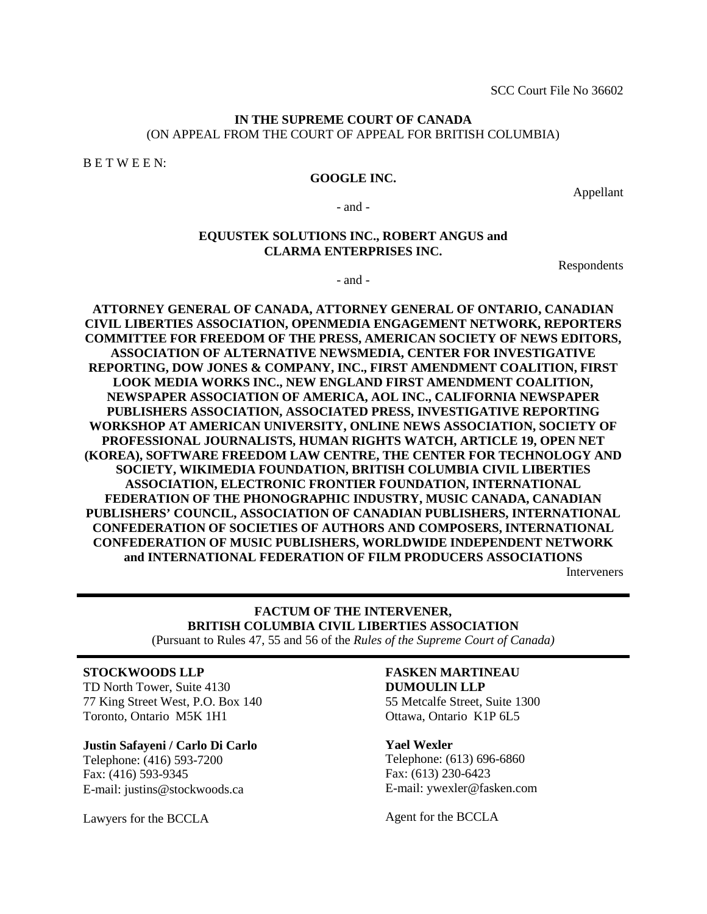#### **IN THE SUPREME COURT OF CANADA** (ON APPEAL FROM THE COURT OF APPEAL FOR BRITISH COLUMBIA)

B E T W E E N:

#### **GOOGLE INC.**

Appellant

- and -

#### **EQUUSTEK SOLUTIONS INC., ROBERT ANGUS and CLARMA ENTERPRISES INC.**

Respondents

- and -

**ATTORNEY GENERAL OF CANADA, ATTORNEY GENERAL OF ONTARIO, CANADIAN CIVIL LIBERTIES ASSOCIATION, OPENMEDIA ENGAGEMENT NETWORK, REPORTERS COMMITTEE FOR FREEDOM OF THE PRESS, AMERICAN SOCIETY OF NEWS EDITORS, ASSOCIATION OF ALTERNATIVE NEWSMEDIA, CENTER FOR INVESTIGATIVE REPORTING, DOW JONES & COMPANY, INC., FIRST AMENDMENT COALITION, FIRST LOOK MEDIA WORKS INC., NEW ENGLAND FIRST AMENDMENT COALITION, NEWSPAPER ASSOCIATION OF AMERICA, AOL INC., CALIFORNIA NEWSPAPER PUBLISHERS ASSOCIATION, ASSOCIATED PRESS, INVESTIGATIVE REPORTING WORKSHOP AT AMERICAN UNIVERSITY, ONLINE NEWS ASSOCIATION, SOCIETY OF PROFESSIONAL JOURNALISTS, HUMAN RIGHTS WATCH, ARTICLE 19, OPEN NET (KOREA), SOFTWARE FREEDOM LAW CENTRE, THE CENTER FOR TECHNOLOGY AND SOCIETY, WIKIMEDIA FOUNDATION, BRITISH COLUMBIA CIVIL LIBERTIES ASSOCIATION, ELECTRONIC FRONTIER FOUNDATION, INTERNATIONAL FEDERATION OF THE PHONOGRAPHIC INDUSTRY, MUSIC CANADA, CANADIAN PUBLISHERS' COUNCIL, ASSOCIATION OF CANADIAN PUBLISHERS, INTERNATIONAL CONFEDERATION OF SOCIETIES OF AUTHORS AND COMPOSERS, INTERNATIONAL CONFEDERATION OF MUSIC PUBLISHERS, WORLDWIDE INDEPENDENT NETWORK and INTERNATIONAL FEDERATION OF FILM PRODUCERS ASSOCIATIONS** Interveners

# **FACTUM OF THE INTERVENER, BRITISH COLUMBIA CIVIL LIBERTIES ASSOCIATION**

(Pursuant to Rules 47, 55 and 56 of the *Rules of the Supreme Court of Canada)*

#### **STOCKWOODS LLP**

TD North Tower, Suite 4130 77 King Street West, P.O. Box 140 Toronto, Ontario M5K 1H1

#### **Justin Safayeni / Carlo Di Carlo**

Telephone: (416) 593-7200 Fax: (416) 593-9345 E-mail: justins@stockwoods.ca

Lawyers for the BCCLA

# **FASKEN MARTINEAU**

**DUMOULIN LLP** 55 Metcalfe Street, Suite 1300 Ottawa, Ontario K1P 6L5

#### **Yael Wexler**

Telephone: (613) 696-6860 Fax: (613) 230-6423 E-mail: ywexler@fasken.com

Agent for the BCCLA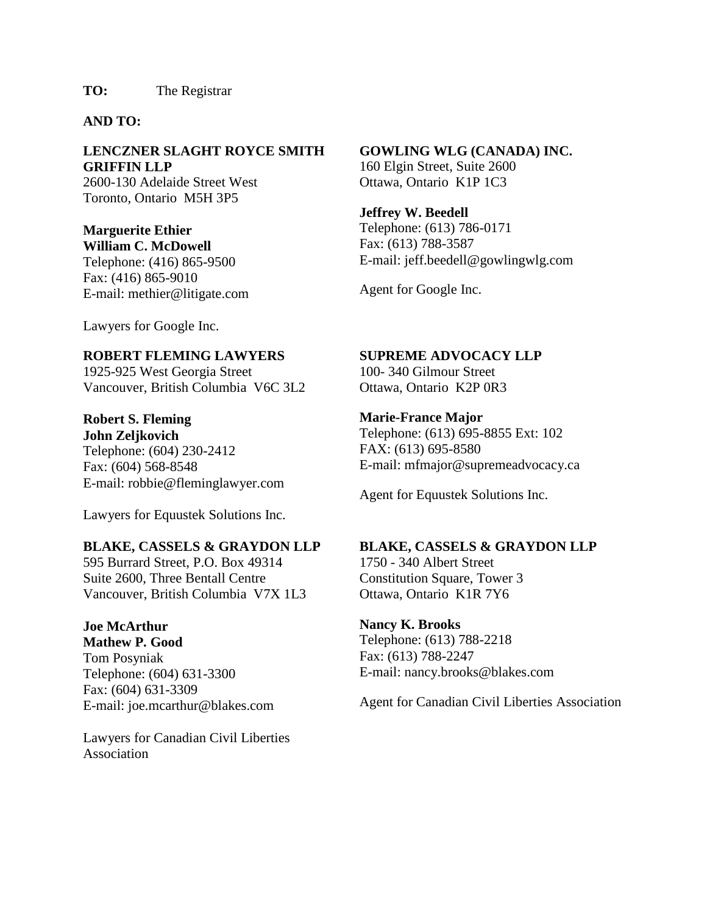## **AND TO:**

## **LENCZNER SLAGHT ROYCE SMITH GRIFFIN LLP**

2600-130 Adelaide Street West Toronto, Ontario M5H 3P5

## **Marguerite Ethier William C. McDowell**

Telephone: (416) 865-9500 Fax: (416) 865-9010 E-mail: methier@litigate.com

Lawyers for Google Inc.

## **ROBERT FLEMING LAWYERS**

1925-925 West Georgia Street Vancouver, British Columbia V6C 3L2

# **Robert S. Fleming John Zeljkovich**

Telephone: (604) 230-2412 Fax: (604) 568-8548 E-mail: robbie@fleminglawyer.com

Lawyers for Equustek Solutions Inc.

## **BLAKE, CASSELS & GRAYDON LLP**

595 Burrard Street, P.O. Box 49314 Suite 2600, Three Bentall Centre Vancouver, British Columbia V7X 1L3

# **Joe McArthur**

**Mathew P. Good** Tom Posyniak Telephone: (604) 631-3300 Fax: (604) 631-3309 E-mail: joe.mcarthur@blakes.com

Lawyers for Canadian Civil Liberties Association

#### **GOWLING WLG (CANADA) INC.** 160 Elgin Street, Suite 2600 Ottawa, Ontario K1P 1C3

**Jeffrey W. Beedell** Telephone: (613) 786-0171 Fax: (613) 788-3587 E-mail: jeff.beedell@gowlingwlg.com

Agent for Google Inc.

# **SUPREME ADVOCACY LLP**

100- 340 Gilmour Street Ottawa, Ontario K2P 0R3

## **Marie-France Major**

Telephone: (613) 695-8855 Ext: 102 FAX: (613) 695-8580 E-mail: mfmajor@supremeadvocacy.ca

Agent for Equustek Solutions Inc.

## **BLAKE, CASSELS & GRAYDON LLP**

1750 - 340 Albert Street Constitution Square, Tower 3 Ottawa, OntarioK1R 7Y6

## **Nancy K. Brooks**

Telephone: (613) 788-2218 Fax: (613) 788-2247 E-mail: nancy.brooks@blakes.com

Agent for Canadian Civil Liberties Association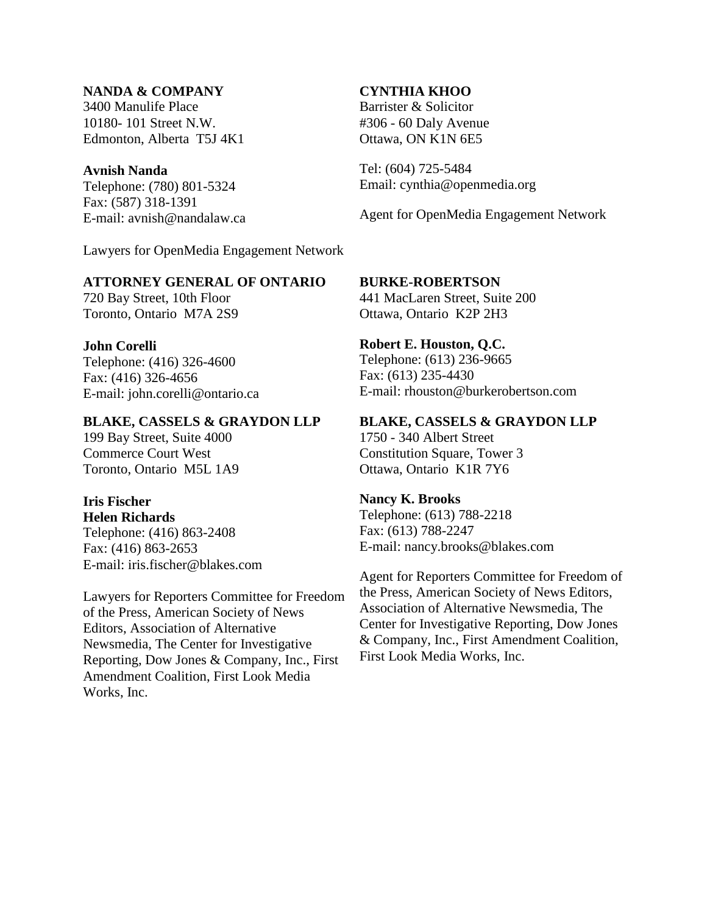## **NANDA & COMPANY**

3400 Manulife Place 10180- 101 Street N.W. Edmonton, Alberta T5J 4K1

## **Avnish Nanda**

Telephone: (780) 801-5324 Fax: (587) 318-1391 E-mail: avnish@nandalaw.ca

Lawyers for OpenMedia Engagement Network

### **ATTORNEY GENERAL OF ONTARIO**

720 Bay Street, 10th Floor Toronto, Ontario M7A 2S9

### **John Corelli**

Telephone: (416) 326-4600 Fax: (416) 326-4656 E-mail: john.corelli@ontario.ca

## **BLAKE, CASSELS & GRAYDON LLP**

199 Bay Street, Suite 4000 Commerce Court West Toronto, Ontario M5L 1A9

#### **Iris Fischer Helen Richards**

Telephone: (416) 863-2408 Fax: (416) 863-2653 E-mail: iris.fischer@blakes.com

Lawyers for Reporters Committee for Freedom of the Press, American Society of News Editors, Association of Alternative Newsmedia, The Center for Investigative Reporting, Dow Jones & Company, Inc., First Amendment Coalition, First Look Media Works, Inc.

## **CYNTHIA KHOO**

Barrister & Solicitor #306 - 60 Daly Avenue Ottawa, ON K1N 6E5

Tel: (604) 725-5484 Email: cynthia@openmedia.org

Agent for OpenMedia Engagement Network

## **BURKE-ROBERTSON**

441 MacLaren Street, Suite 200 Ottawa, Ontario K2P 2H3

**Robert E. Houston, Q.C.** Telephone: (613) 236-9665

Fax: (613) 235-4430 E-mail: rhouston@burkerobertson.com

## **BLAKE, CASSELS & GRAYDON LLP**

1750 - 340 Albert Street Constitution Square, Tower 3 Ottawa, OntarioK1R 7Y6

#### **Nancy K. Brooks**

Telephone: (613) 788-2218 Fax: (613) 788-2247 E-mail: nancy.brooks@blakes.com

Agent for Reporters Committee for Freedom of the Press, American Society of News Editors, Association of Alternative Newsmedia, The Center for Investigative Reporting, Dow Jones & Company, Inc., First Amendment Coalition, First Look Media Works, Inc.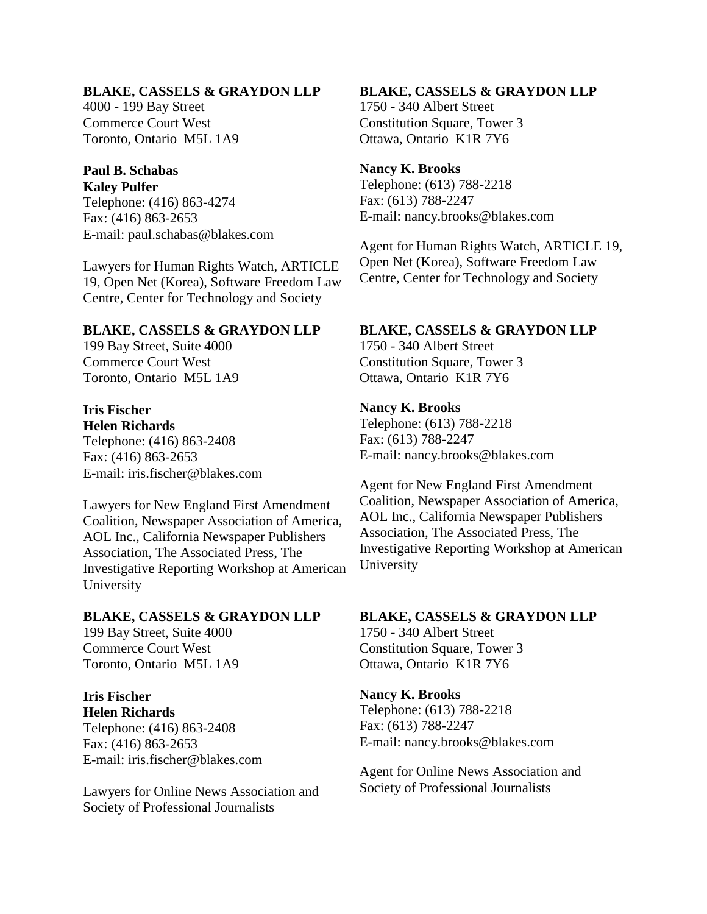#### **BLAKE, CASSELS & GRAYDON LLP**

4000 - 199 Bay Street Commerce Court West Toronto, Ontario M5L 1A9

# **Paul B. Schabas**

**Kaley Pulfer** Telephone: (416) 863-4274 Fax: (416) 863-2653 E-mail: paul.schabas@blakes.com

Lawyers for Human Rights Watch, ARTICLE 19, Open Net (Korea), Software Freedom Law Centre, Center for Technology and Society

#### **BLAKE, CASSELS & GRAYDON LLP**

199 Bay Street, Suite 4000 Commerce Court West Toronto, Ontario M5L 1A9

#### **Iris Fischer Helen Richards**

Telephone: (416) 863-2408 Fax: (416) 863-2653 E-mail: iris.fischer@blakes.com

Lawyers for New England First Amendment Coalition, Newspaper Association of America, AOL Inc., California Newspaper Publishers Association, The Associated Press, The Investigative Reporting Workshop at American University

#### **BLAKE, CASSELS & GRAYDON LLP**

199 Bay Street, Suite 4000 Commerce Court West Toronto, Ontario M5L 1A9

#### **Iris Fischer Helen Richards**

Telephone: (416) 863-2408 Fax: (416) 863-2653 E-mail: iris.fischer@blakes.com

Lawyers for Online News Association and Society of Professional Journalists

#### **BLAKE, CASSELS & GRAYDON LLP**

1750 - 340 Albert Street Constitution Square, Tower 3 Ottawa, OntarioK1R 7Y6

#### **Nancy K. Brooks**

Telephone: (613) 788-2218 Fax: (613) 788-2247 E-mail: nancy.brooks@blakes.com

Agent for Human Rights Watch, ARTICLE 19, Open Net (Korea), Software Freedom Law Centre, Center for Technology and Society

#### **BLAKE, CASSELS & GRAYDON LLP**

1750 - 340 Albert Street Constitution Square, Tower 3 Ottawa, OntarioK1R 7Y6

#### **Nancy K. Brooks**

Telephone: (613) 788-2218 Fax: (613) 788-2247 E-mail: nancy.brooks@blakes.com

Agent for New England First Amendment Coalition, Newspaper Association of America, AOL Inc., California Newspaper Publishers Association, The Associated Press, The Investigative Reporting Workshop at American University

#### **BLAKE, CASSELS & GRAYDON LLP**

1750 - 340 Albert Street Constitution Square, Tower 3 Ottawa, Ontario K1R 7Y6

#### **Nancy K. Brooks**

Telephone: (613) 788-2218 Fax: (613) 788-2247 E-mail: nancy.brooks@blakes.com

Agent for Online News Association and Society of Professional Journalists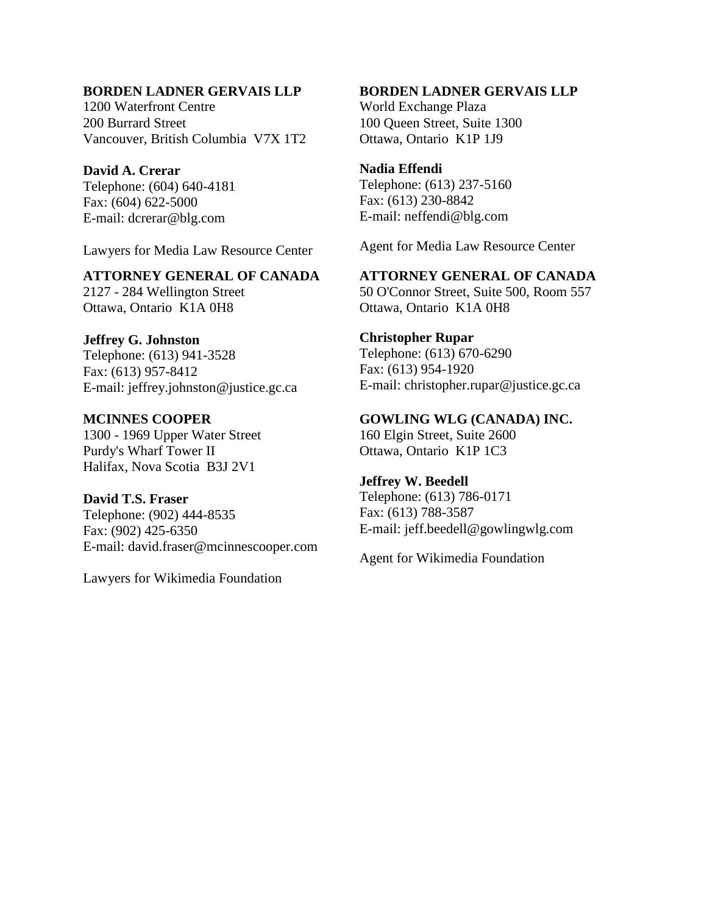## **BORDEN LADNER GERVAIS LLP**

1200 Waterfront Centre 200 Burrard Street Vancouver, British Columbia V7X 1T2

### **David A. Crerar**

Telephone: (604) 640-4181 Fax: (604) 622-5000 E-mail: dcrerar@blg.com

Lawyers for Media Law Resource Center

## **ATTORNEY GENERAL OF CANADA**

2127 - 284 Wellington Street Ottawa, Ontario K1A 0H8

#### **Jeffrey G. Johnston**

Telephone: (613) 941-3528 Fax: (613) 957-8412 E-mail: jeffrey.johnston@justice.gc.ca

**MCINNES COOPER** 1300 - 1969 Upper Water Street Purdy's Wharf Tower II Halifax, Nova Scotia B3J 2V1

**David T.S. Fraser** Telephone: (902) 444-8535 Fax: (902) 425-6350 E-mail: david.fraser@mcinnescooper.com

Lawyers for Wikimedia Foundation

### **BORDEN LADNER GERVAIS LLP**

World Exchange Plaza 100 Queen Street, Suite 1300 Ottawa, Ontario K1P 1J9

## **Nadia Effendi**

Telephone: (613) 237-5160 Fax: (613) 230-8842 E-mail: neffendi@blg.com

Agent for Media Law Resource Center

**ATTORNEY GENERAL OF CANADA** 50 O'Connor Street, Suite 500, Room 557 Ottawa, Ontario K1A 0H8

## **Christopher Rupar**

Telephone: (613) 670-6290 Fax: (613) 954-1920 E-mail: christopher.rupar@justice.gc.ca

**GOWLING WLG (CANADA) INC.** 160 Elgin Street, Suite 2600

Ottawa, Ontario K1P 1C3

### **Jeffrey W. Beedell**

Telephone: (613) 786-0171 Fax: (613) 788-3587 E-mail: jeff.beedell@gowlingwlg.com

Agent for Wikimedia Foundation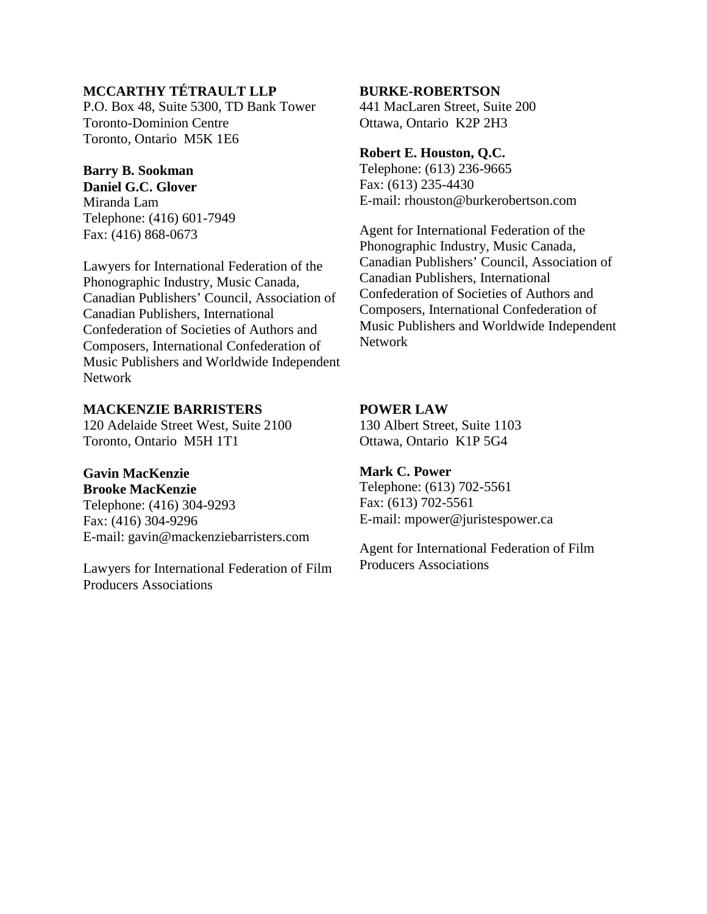# **MCCARTHY TÉTRAULT LLP**

P.O. Box 48, Suite 5300, TD Bank Tower Toronto-Dominion Centre Toronto, Ontario M5K 1E6

# **Barry B. Sookman**

**Daniel G.C. Glover** Miranda Lam Telephone: (416) 601-7949 Fax: (416) 868-0673

Lawyers for International Federation of the Phonographic Industry, Music Canada, Canadian Publishers' Council, Association of Canadian Publishers, International Confederation of Societies of Authors and Composers, International Confederation of Music Publishers and Worldwide Independent Network

## **MACKENZIE BARRISTERS**

120 Adelaide Street West, Suite 2100 Toronto, Ontario M5H 1T1

## **Gavin MacKenzie**

**Brooke MacKenzie** Telephone: (416) 304-9293 Fax: (416) 304-9296 E-mail: gavin@mackenziebarristers.com

Lawyers for International Federation of Film Producers Associations

#### **BURKE-ROBERTSON**

441 MacLaren Street, Suite 200 Ottawa, Ontario K2P 2H3

### **Robert E. Houston, Q.C.**

Telephone: (613) 236-9665 Fax: (613) 235-4430 E-mail: rhouston@burkerobertson.com

Agent for International Federation of the Phonographic Industry, Music Canada, Canadian Publishers' Council, Association of Canadian Publishers, International Confederation of Societies of Authors and Composers, International Confederation of Music Publishers and Worldwide Independent Network

## **POWER LAW**

130 Albert Street, Suite 1103 Ottawa, Ontario K1P 5G4

## **Mark C. Power**

Telephone: (613) 702-5561 Fax: (613) 702-5561 E-mail: mpower@juristespower.ca

Agent for International Federation of Film Producers Associations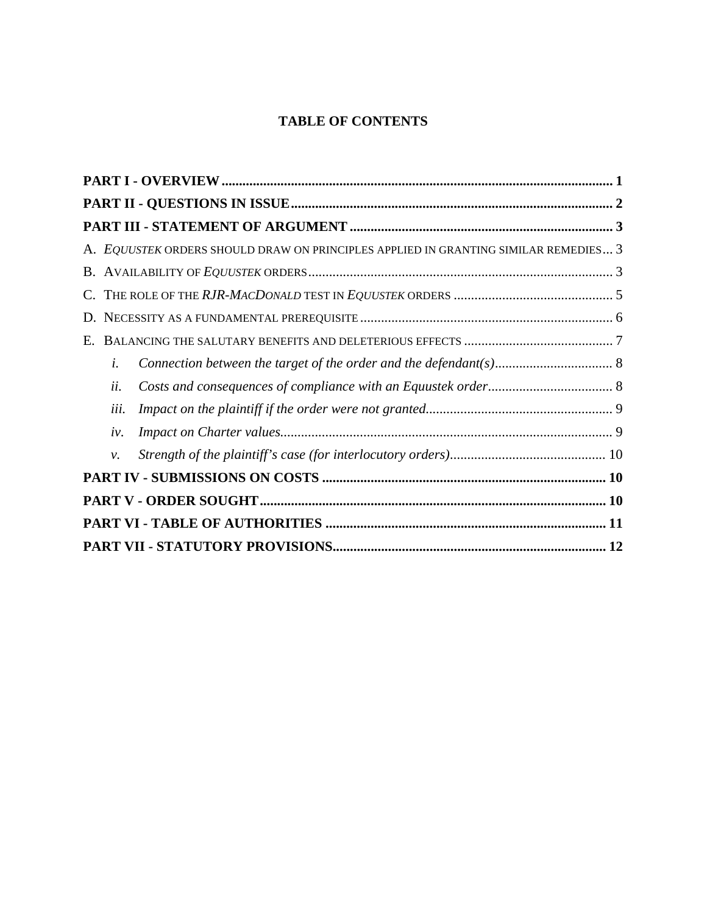# **TABLE OF CONTENTS**

|    |      | A. EQUUSTEK ORDERS SHOULD DRAW ON PRINCIPLES APPLIED IN GRANTING SIMILAR REMEDIES 3 |  |  |  |  |
|----|------|-------------------------------------------------------------------------------------|--|--|--|--|
|    |      |                                                                                     |  |  |  |  |
|    |      |                                                                                     |  |  |  |  |
|    |      |                                                                                     |  |  |  |  |
| Е. |      |                                                                                     |  |  |  |  |
|    | i.   |                                                                                     |  |  |  |  |
|    | ii.  |                                                                                     |  |  |  |  |
|    | iii. |                                                                                     |  |  |  |  |
|    | iv.  |                                                                                     |  |  |  |  |
|    | ν.   |                                                                                     |  |  |  |  |
|    |      |                                                                                     |  |  |  |  |
|    |      |                                                                                     |  |  |  |  |
|    |      |                                                                                     |  |  |  |  |
|    |      |                                                                                     |  |  |  |  |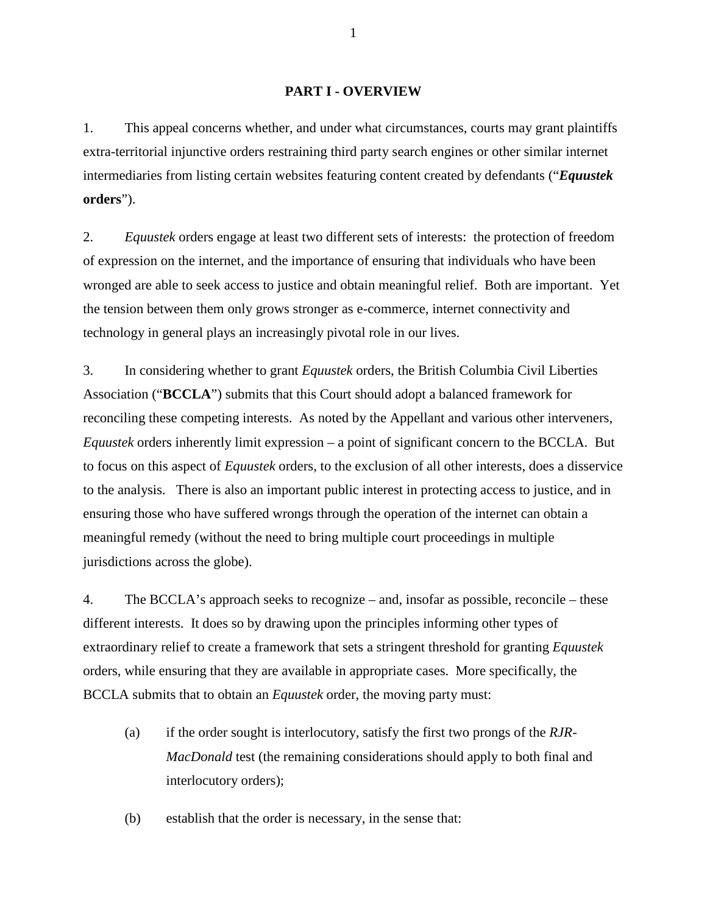#### **PART I - OVERVIEW**

<span id="page-7-0"></span>1. This appeal concerns whether, and under what circumstances, courts may grant plaintiffs extra-territorial injunctive orders restraining third party search engines or other similar internet intermediaries from listing certain websites featuring content created by defendants ("*Equustek* **orders**").

2. *Equustek* orders engage at least two different sets of interests: the protection of freedom of expression on the internet, and the importance of ensuring that individuals who have been wronged are able to seek access to justice and obtain meaningful relief. Both are important. Yet the tension between them only grows stronger as e-commerce, internet connectivity and technology in general plays an increasingly pivotal role in our lives.

3. In considering whether to grant *Equustek* orders, the British Columbia Civil Liberties Association ("**BCCLA**") submits that this Court should adopt a balanced framework for reconciling these competing interests. As noted by the Appellant and various other interveners, *Equustek* orders inherently limit expression – a point of significant concern to the BCCLA. But to focus on this aspect of *Equustek* orders, to the exclusion of all other interests, does a disservice to the analysis. There is also an important public interest in protecting access to justice, and in ensuring those who have suffered wrongs through the operation of the internet can obtain a meaningful remedy (without the need to bring multiple court proceedings in multiple jurisdictions across the globe).

4. The BCCLA's approach seeks to recognize – and, insofar as possible, reconcile – these different interests. It does so by drawing upon the principles informing other types of extraordinary relief to create a framework that sets a stringent threshold for granting *Equustek*  orders, while ensuring that they are available in appropriate cases. More specifically, the BCCLA submits that to obtain an *Equustek* order, the moving party must:

(a) if the order sought is interlocutory, satisfy the first two prongs of the *RJR-MacDonald* test (the remaining considerations should apply to both final and interlocutory orders);

(b) establish that the order is necessary, in the sense that: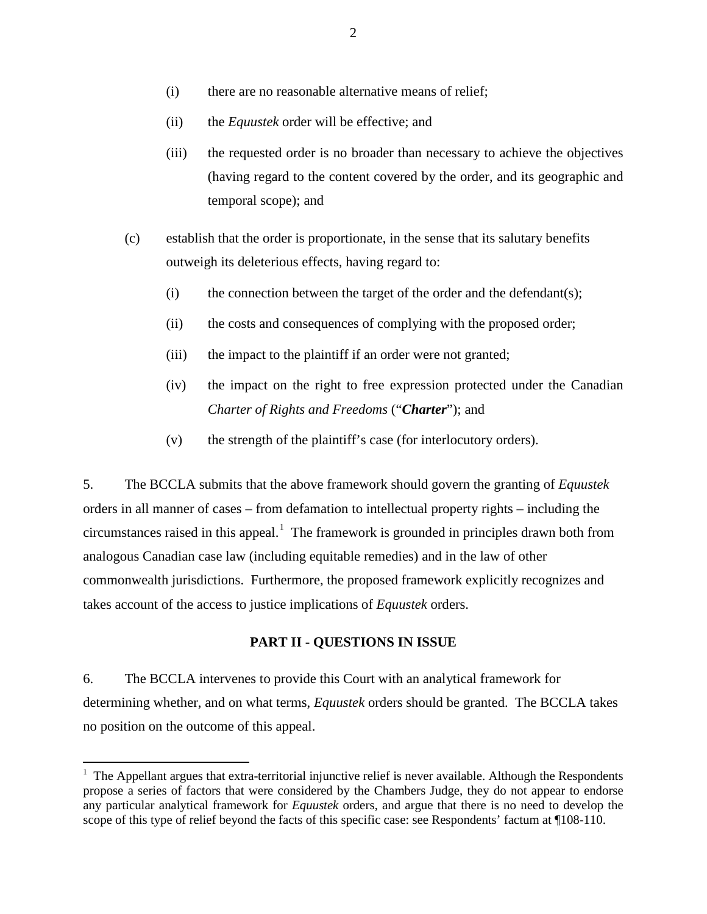- (i) there are no reasonable alternative means of relief;
- (ii) the *Equustek* order will be effective; and
- (iii) the requested order is no broader than necessary to achieve the objectives (having regard to the content covered by the order, and its geographic and temporal scope); and
- (c) establish that the order is proportionate, in the sense that its salutary benefits outweigh its deleterious effects, having regard to:
	- (i) the connection between the target of the order and the defendant(s);
	- (ii) the costs and consequences of complying with the proposed order;
	- (iii) the impact to the plaintiff if an order were not granted;
	- (iv) the impact on the right to free expression protected under the Canadian *Charter of Rights and Freedoms* ("*Charter*"); and
	- (v) the strength of the plaintiff's case (for interlocutory orders).

5. The BCCLA submits that the above framework should govern the granting of *Equustek*  orders in all manner of cases – from defamation to intellectual property rights – including the circumstances raised in this appeal.<sup>[1](#page-8-1)</sup> The framework is grounded in principles drawn both from analogous Canadian case law (including equitable remedies) and in the law of other commonwealth jurisdictions. Furthermore, the proposed framework explicitly recognizes and takes account of the access to justice implications of *Equustek* orders.

## **PART II - QUESTIONS IN ISSUE**

<span id="page-8-0"></span>6. The BCCLA intervenes to provide this Court with an analytical framework for determining whether, and on what terms, *Equustek* orders should be granted. The BCCLA takes no position on the outcome of this appeal.

<span id="page-8-1"></span> $1$  The Appellant argues that extra-territorial injunctive relief is never available. Although the Respondents propose a series of factors that were considered by the Chambers Judge, they do not appear to endorse any particular analytical framework for *Equustek* orders, and argue that there is no need to develop the scope of this type of relief beyond the facts of this specific case: see Respondents' factum at ¶108-110.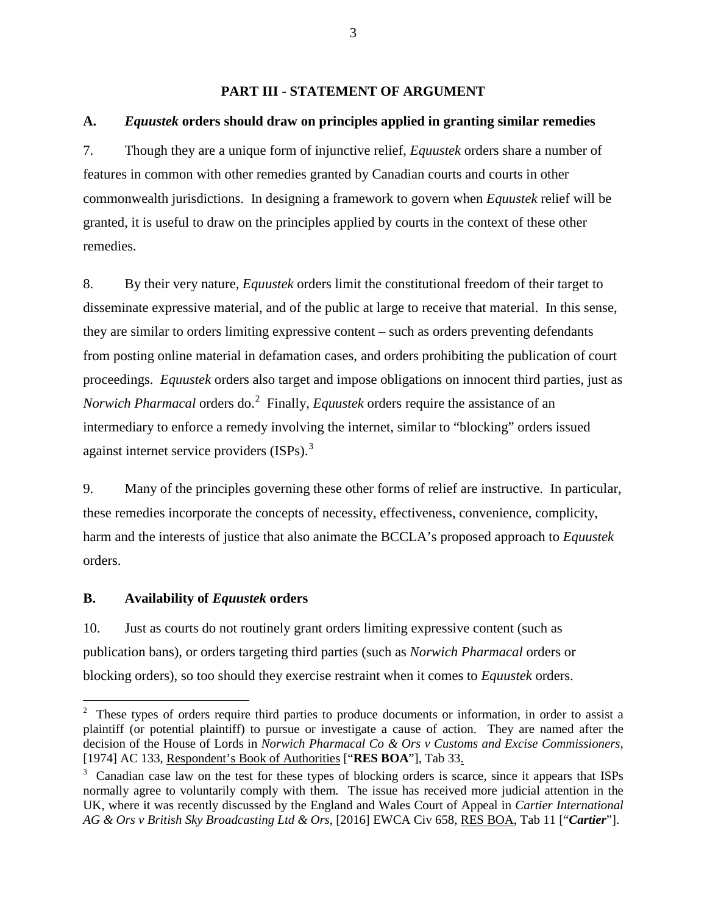#### **PART III - STATEMENT OF ARGUMENT**

## <span id="page-9-1"></span><span id="page-9-0"></span>**A.** *Equustek* **orders should draw on principles applied in granting similar remedies**

7. Though they are a unique form of injunctive relief, *Equustek* orders share a number of features in common with other remedies granted by Canadian courts and courts in other commonwealth jurisdictions. In designing a framework to govern when *Equustek* relief will be granted, it is useful to draw on the principles applied by courts in the context of these other remedies.

8. By their very nature, *Equustek* orders limit the constitutional freedom of their target to disseminate expressive material, and of the public at large to receive that material. In this sense, they are similar to orders limiting expressive content – such as orders preventing defendants from posting online material in defamation cases, and orders prohibiting the publication of court proceedings. *Equustek* orders also target and impose obligations on innocent third parties, just as *Norwich Pharmacal* orders do. [2](#page-9-3) Finally, *Equustek* orders require the assistance of an intermediary to enforce a remedy involving the internet, similar to "blocking" orders issued against internet service providers (ISPs).<sup>[3](#page-9-4)</sup>

9. Many of the principles governing these other forms of relief are instructive. In particular, these remedies incorporate the concepts of necessity, effectiveness, convenience, complicity, harm and the interests of justice that also animate the BCCLA's proposed approach to *Equustek*  orders.

#### <span id="page-9-2"></span>**B. Availability of** *Equustek* **orders**

10. Just as courts do not routinely grant orders limiting expressive content (such as publication bans), or orders targeting third parties (such as *Norwich Pharmacal* orders or blocking orders), so too should they exercise restraint when it comes to *Equustek* orders.

<span id="page-9-3"></span> $2\degree$  These types of orders require third parties to produce documents or information, in order to assist a plaintiff (or potential plaintiff) to pursue or investigate a cause of action. They are named after the decision of the House of Lords in *Norwich Pharmacal Co & Ors v Customs and Excise Commissioners*, [1974] AC 133, Respondent's Book of Authorities ["**RES BOA**"], Tab 33.

<span id="page-9-4"></span><sup>&</sup>lt;sup>3</sup> Canadian case law on the test for these types of blocking orders is scarce, since it appears that ISPs normally agree to voluntarily comply with them. The issue has received more judicial attention in the UK, where it was recently discussed by the England and Wales Court of Appeal in *Cartier International AG & Ors v British Sky Broadcasting Ltd & Ors,* [2016] EWCA Civ 658, RES BOA, Tab 11 ["*Cartier*"].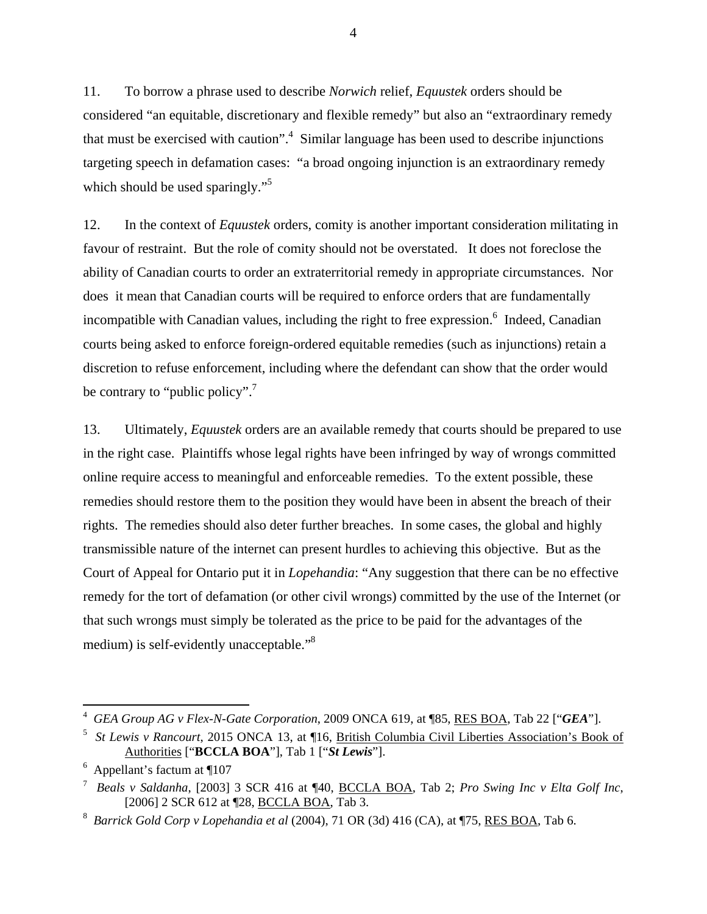11. To borrow a phrase used to describe *Norwich* relief, *Equustek* orders should be considered "an equitable, discretionary and flexible remedy" but also an "extraordinary remedy that must be exercised with caution".<sup>4</sup> Similar language has been used to describe injunctions targeting speech in defamation cases: "a broad ongoing injunction is an extraordinary remedy which should be used sparingly."<sup>[5](#page-10-1)</sup>

12. In the context of *Equustek* orders, comity is another important consideration militating in favour of restraint. But the role of comity should not be overstated. It does not foreclose the ability of Canadian courts to order an extraterritorial remedy in appropriate circumstances. Nor does it mean that Canadian courts will be required to enforce orders that are fundamentally incompatible with Canadian values, including the right to free expression.<sup>[6](#page-10-2)</sup> Indeed, Canadian courts being asked to enforce foreign-ordered equitable remedies (such as injunctions) retain a discretion to refuse enforcement, including where the defendant can show that the order would be contrary to "public policy".<sup>[7](#page-10-3)</sup>

13. Ultimately, *Equustek* orders are an available remedy that courts should be prepared to use in the right case. Plaintiffs whose legal rights have been infringed by way of wrongs committed online require access to meaningful and enforceable remedies. To the extent possible, these remedies should restore them to the position they would have been in absent the breach of their rights. The remedies should also deter further breaches. In some cases, the global and highly transmissible nature of the internet can present hurdles to achieving this objective. But as the Court of Appeal for Ontario put it in *Lopehandia*: "Any suggestion that there can be no effective remedy for the tort of defamation (or other civil wrongs) committed by the use of the Internet (or that such wrongs must simply be tolerated as the price to be paid for the advantages of the medium) is self-evidently unacceptable."[8](#page-10-4)

 $\overline{a}$ 

<span id="page-10-0"></span><sup>4</sup> *GEA Group AG v Flex-N-Gate Corporation*, 2009 ONCA 619, at ¶85, RES BOA, Tab 22 ["*GEA*"].

<span id="page-10-1"></span><sup>5</sup> *St Lewis v Rancourt*, 2015 ONCA 13, at ¶16, British Columbia Civil Liberties Association's Book of Authorities ["**BCCLA BOA**"], Tab 1 ["*St Lewis*"].

<sup>6</sup> Appellant's factum at ¶107

<span id="page-10-3"></span><span id="page-10-2"></span><sup>7</sup> *Beals v Saldanha*, [2003] 3 SCR 416 at ¶40, BCCLA BOA, Tab 2; *Pro Swing Inc v Elta Golf Inc*, [2006] 2 SCR 612 at ¶28, BCCLA BOA, Tab 3.

<span id="page-10-4"></span><sup>8</sup> *Barrick Gold Corp v Lopehandia et al* (2004), 71 OR (3d) 416 (CA), at ¶75, RES BOA, Tab 6.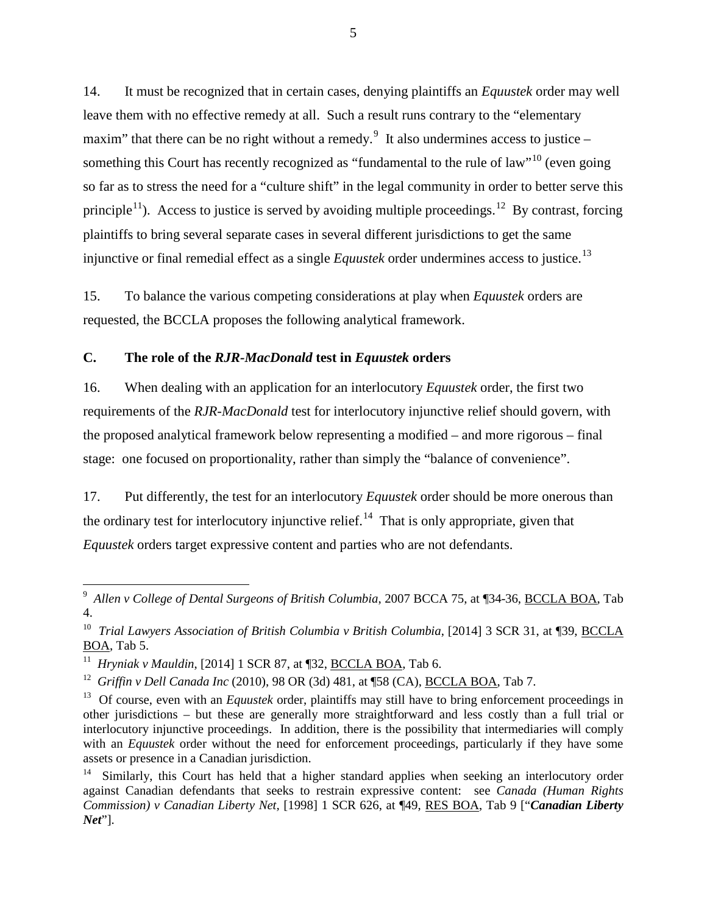14. It must be recognized that in certain cases, denying plaintiffs an *Equustek* order may well leave them with no effective remedy at all. Such a result runs contrary to the "elementary maxim" that there can be no right without a remedy. $9\,$  $9\,$  It also undermines access to justice – something this Court has recently recognized as "fundamental to the rule of law"<sup>[10](#page-11-2)</sup> (even going so far as to stress the need for a "culture shift" in the legal community in order to better serve this principle<sup>[11](#page-11-3)</sup>). Access to justice is served by avoiding multiple proceedings.<sup>[12](#page-11-4)</sup> By contrast, forcing plaintiffs to bring several separate cases in several different jurisdictions to get the same injunctive or final remedial effect as a single *Equustek* order undermines access to justice.<sup>[13](#page-11-5)</sup>

15. To balance the various competing considerations at play when *Equustek* orders are requested, the BCCLA proposes the following analytical framework.

## <span id="page-11-0"></span>**C. The role of the** *RJR-MacDonald* **test in** *Equustek* **orders**

16. When dealing with an application for an interlocutory *Equustek* order, the first two requirements of the *RJR-MacDonald* test for interlocutory injunctive relief should govern, with the proposed analytical framework below representing a modified – and more rigorous – final stage: one focused on proportionality, rather than simply the "balance of convenience".

17. Put differently, the test for an interlocutory *Equustek* order should be more onerous than the ordinary test for interlocutory injunctive relief.<sup>14</sup> That is only appropriate, given that *Equustek* orders target expressive content and parties who are not defendants.

<span id="page-11-1"></span> <sup>9</sup> *Allen v College of Dental Surgeons of British Columbia*, 2007 BCCA 75, at ¶34-36, BCCLA BOA, Tab 4.

<span id="page-11-2"></span><sup>&</sup>lt;sup>10</sup> *Trial Lawyers Association of British Columbia v British Columbia*, [2014] 3 SCR 31, at [39, BCCLA BOA, Tab 5.

<span id="page-11-3"></span><sup>11</sup> *Hryniak v Mauldin*, [2014] 1 SCR 87, at ¶32, BCCLA BOA, Tab 6.

<span id="page-11-4"></span><sup>&</sup>lt;sup>12</sup> *Griffin v Dell Canada Inc* (2010), 98 OR (3d) 481, at ¶58 (CA), **BCCLA BOA**, Tab 7.

<span id="page-11-5"></span><sup>&</sup>lt;sup>13</sup> Of course, even with an *Equustek* order, plaintiffs may still have to bring enforcement proceedings in other jurisdictions – but these are generally more straightforward and less costly than a full trial or interlocutory injunctive proceedings. In addition, there is the possibility that intermediaries will comply with an *Equustek* order without the need for enforcement proceedings, particularly if they have some assets or presence in a Canadian jurisdiction.

<span id="page-11-6"></span>Similarly, this Court has held that a higher standard applies when seeking an interlocutory order against Canadian defendants that seeks to restrain expressive content: see *Canada (Human Rights Commission) v Canadian Liberty Net,* [1998] 1 SCR 626, at ¶49, RES BOA, Tab 9 ["*Canadian Liberty Net*"].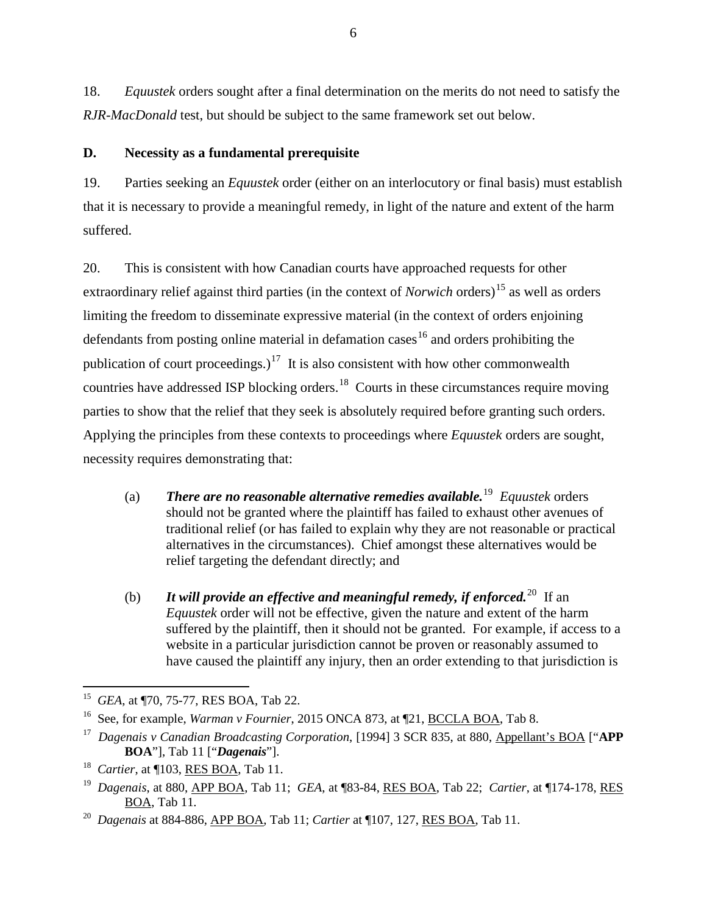18. *Equustek* orders sought after a final determination on the merits do not need to satisfy the *RJR-MacDonald* test, but should be subject to the same framework set out below.

## <span id="page-12-0"></span>**D. Necessity as a fundamental prerequisite**

19. Parties seeking an *Equustek* order (either on an interlocutory or final basis) must establish that it is necessary to provide a meaningful remedy, in light of the nature and extent of the harm suffered.

20. This is consistent with how Canadian courts have approached requests for other extraordinary relief against third parties (in the context of *Norwich* orders) [15](#page-12-1) as well as orders limiting the freedom to disseminate expressive material (in the context of orders enjoining defendants from posting online material in defamation cases<sup>[16](#page-12-2)</sup> and orders prohibiting the publication of court proceedings.)<sup>[17](#page-12-3)</sup> It is also consistent with how other commonwealth countries have addressed ISP blocking orders.<sup>[18](#page-12-4)</sup> Courts in these circumstances require moving parties to show that the relief that they seek is absolutely required before granting such orders. Applying the principles from these contexts to proceedings where *Equustek* orders are sought, necessity requires demonstrating that:

- (a) *There are no reasonable alternative remedies available.*[19](#page-12-5) *Equustek* orders should not be granted where the plaintiff has failed to exhaust other avenues of traditional relief (or has failed to explain why they are not reasonable or practical alternatives in the circumstances). Chief amongst these alternatives would be relief targeting the defendant directly; and
- (b) **It will provide an effective and meaningful remedy, if enforced.**<sup>[20](#page-12-6)</sup> If an *Equustek* order will not be effective, given the nature and extent of the harm suffered by the plaintiff, then it should not be granted. For example, if access to a website in a particular jurisdiction cannot be proven or reasonably assumed to have caused the plaintiff any injury, then an order extending to that jurisdiction is

<span id="page-12-1"></span> <sup>15</sup> *GEA*, at ¶70, 75-77, RES BOA, Tab 22.

<span id="page-12-2"></span><sup>&</sup>lt;sup>16</sup> See, for example, *Warman v Fournier*, 2015 ONCA 873, at ¶21, **BCCLA BOA**, Tab 8.

<span id="page-12-3"></span><sup>17</sup> *Dagenais v Canadian Broadcasting Corporation*, [1994] 3 SCR 835, at 880, Appellant's BOA ["**APP BOA**"], Tab 11 ["*Dagenais*"].

<span id="page-12-4"></span><sup>18</sup> *Cartier*, at ¶103, RES BOA, Tab 11.

<span id="page-12-5"></span><sup>19</sup> *Dagenais*, at 880, APP BOA, Tab 11; *GEA*, at ¶83-84, RES BOA, Tab 22; *Cartier*, at ¶174-178, RES BOA, Tab 11.

<span id="page-12-6"></span><sup>20</sup> *Dagenais* at 884-886, APP BOA, Tab 11; *Cartier* at ¶107, 127, RES BOA, Tab 11.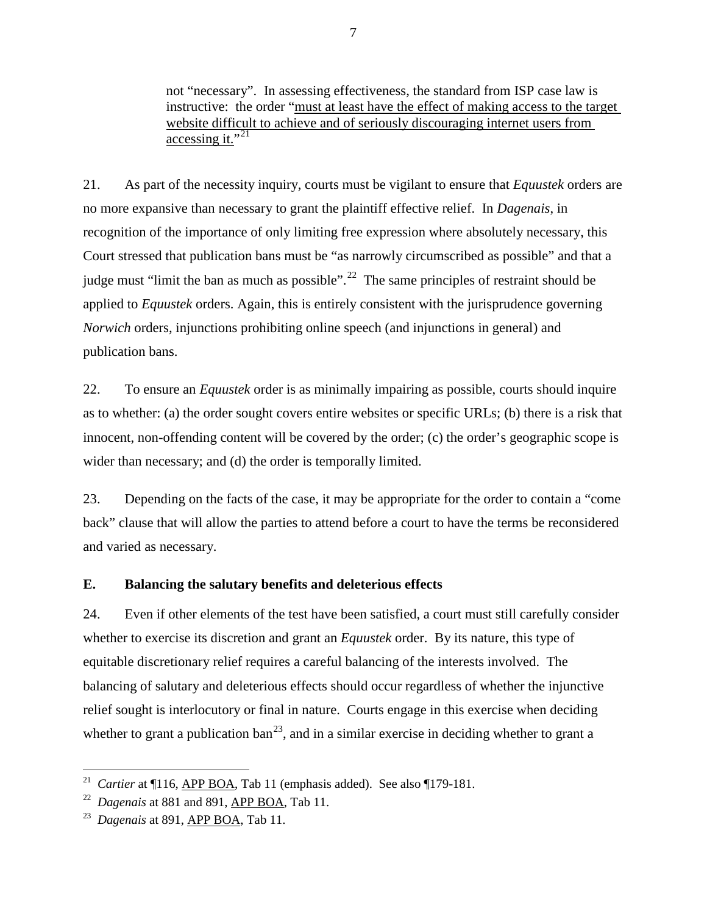not "necessary". In assessing effectiveness, the standard from ISP case law is instructive: the order "must at least have the effect of making access to the target website difficult to achieve and of seriously discouraging internet users from accessing it." $^{21}$  $^{21}$  $^{21}$ 

21. As part of the necessity inquiry, courts must be vigilant to ensure that *Equustek* orders are no more expansive than necessary to grant the plaintiff effective relief. In *Dagenais*, in recognition of the importance of only limiting free expression where absolutely necessary, this Court stressed that publication bans must be "as narrowly circumscribed as possible" and that a judge must "limit the ban as much as possible".<sup>[22](#page-13-2)</sup> The same principles of restraint should be applied to *Equustek* orders. Again, this is entirely consistent with the jurisprudence governing *Norwich* orders, injunctions prohibiting online speech (and injunctions in general) and publication bans.

22. To ensure an *Equustek* order is as minimally impairing as possible, courts should inquire as to whether: (a) the order sought covers entire websites or specific URLs; (b) there is a risk that innocent, non-offending content will be covered by the order; (c) the order's geographic scope is wider than necessary; and (d) the order is temporally limited.

23. Depending on the facts of the case, it may be appropriate for the order to contain a "come back" clause that will allow the parties to attend before a court to have the terms be reconsidered and varied as necessary.

## <span id="page-13-0"></span>**E. Balancing the salutary benefits and deleterious effects**

24. Even if other elements of the test have been satisfied, a court must still carefully consider whether to exercise its discretion and grant an *Equustek* order. By its nature, this type of equitable discretionary relief requires a careful balancing of the interests involved. The balancing of salutary and deleterious effects should occur regardless of whether the injunctive relief sought is interlocutory or final in nature. Courts engage in this exercise when deciding whether to grant a publication ban<sup>[23](#page-13-3)</sup>, and in a similar exercise in deciding whether to grant a

<span id="page-13-1"></span><sup>&</sup>lt;sup>21</sup> *Cartier* at ¶116, <u>APP BOA</u>, Tab 11 (emphasis added). See also ¶179-181.

<span id="page-13-2"></span><sup>22</sup> *Dagenais* at 881 and 891, APP BOA, Tab 11.

<span id="page-13-3"></span><sup>23</sup> *Dagenais* at 891, APP BOA, Tab 11.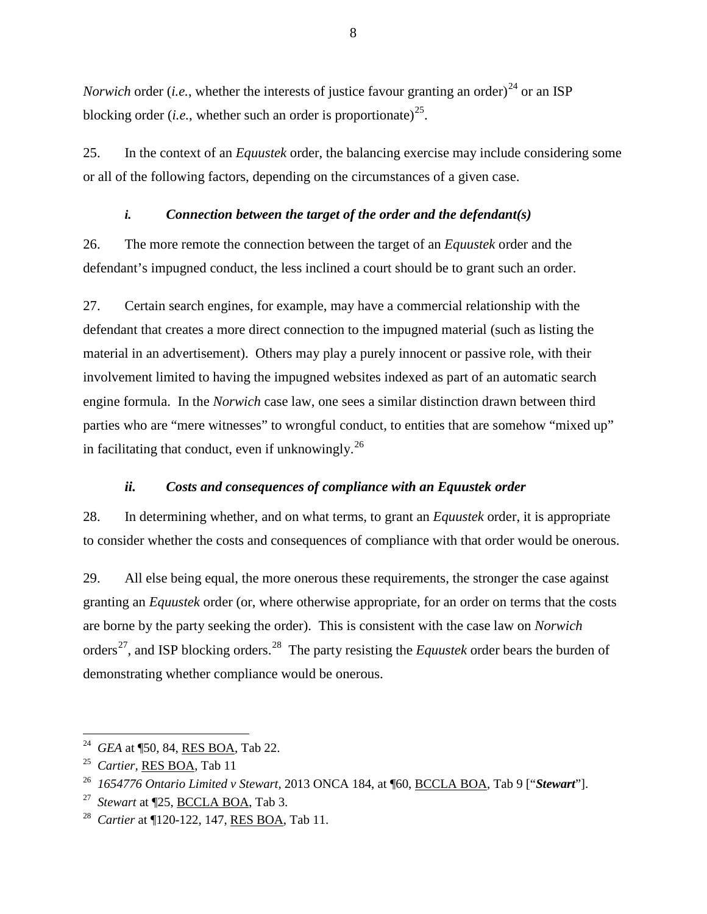*Norwich* order (*i.e.*, whether the interests of justice favour granting an order)<sup>[24](#page-14-2)</sup> or an ISP blocking order (*i.e.*, whether such an order is proportionate)<sup>25</sup>.

25. In the context of an *Equustek* order, the balancing exercise may include considering some or all of the following factors, depending on the circumstances of a given case.

## *i. Connection between the target of the order and the defendant(s)*

<span id="page-14-0"></span>26. The more remote the connection between the target of an *Equustek* order and the defendant's impugned conduct, the less inclined a court should be to grant such an order.

27. Certain search engines, for example, may have a commercial relationship with the defendant that creates a more direct connection to the impugned material (such as listing the material in an advertisement). Others may play a purely innocent or passive role, with their involvement limited to having the impugned websites indexed as part of an automatic search engine formula. In the *Norwich* case law, one sees a similar distinction drawn between third parties who are "mere witnesses" to wrongful conduct, to entities that are somehow "mixed up" in facilitating that conduct, even if unknowingly.<sup>[26](#page-14-4)</sup>

## *ii. Costs and consequences of compliance with an Equustek order*

<span id="page-14-1"></span>28. In determining whether, and on what terms, to grant an *Equustek* order, it is appropriate to consider whether the costs and consequences of compliance with that order would be onerous.

29. All else being equal, the more onerous these requirements, the stronger the case against granting an *Equustek* order (or, where otherwise appropriate, for an order on terms that the costs are borne by the party seeking the order). This is consistent with the case law on *Norwich*  orders[27,](#page-14-5) and ISP blocking orders.[28](#page-14-6) The party resisting the *Equustek* order bears the burden of demonstrating whether compliance would be onerous.

<span id="page-14-2"></span><sup>&</sup>lt;sup>24</sup> *GEA* at ¶50, 84, RES BOA, Tab 22.

<sup>25</sup> *Cartier,* RES BOA, Tab 11

<span id="page-14-4"></span><span id="page-14-3"></span><sup>26</sup> *1654776 Ontario Limited v Stewart,* 2013 ONCA 184, at ¶60, BCCLA BOA, Tab 9 ["*Stewart*"].

<span id="page-14-5"></span>Stewart at [25, **BCCLA BOA**, Tab 3.

<span id="page-14-6"></span><sup>28</sup> *Cartier* at ¶120-122, 147, RES BOA, Tab 11.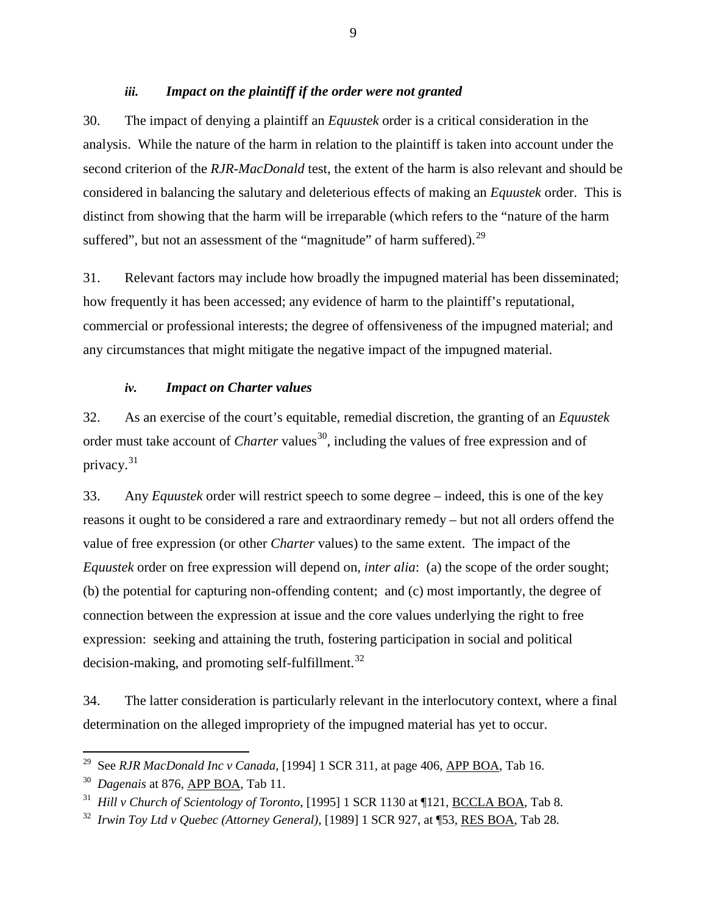### *iii. Impact on the plaintiff if the order were not granted*

<span id="page-15-0"></span>30. The impact of denying a plaintiff an *Equustek* order is a critical consideration in the analysis. While the nature of the harm in relation to the plaintiff is taken into account under the second criterion of the *RJR-MacDonald* test, the extent of the harm is also relevant and should be considered in balancing the salutary and deleterious effects of making an *Equustek* order. This is distinct from showing that the harm will be irreparable (which refers to the "nature of the harm suffered", but not an assessment of the "magnitude" of harm suffered).<sup>[29](#page-15-2)</sup>

31. Relevant factors may include how broadly the impugned material has been disseminated; how frequently it has been accessed; any evidence of harm to the plaintiff's reputational, commercial or professional interests; the degree of offensiveness of the impugned material; and any circumstances that might mitigate the negative impact of the impugned material.

### *iv. Impact on Charter values*

<span id="page-15-1"></span>32. As an exercise of the court's equitable, remedial discretion, the granting of an *Equustek*  order must take account of *Charter* values<sup>[30](#page-15-3)</sup>, including the values of free expression and of privacy. [31](#page-15-4)

33. Any *Equustek* order will restrict speech to some degree – indeed, this is one of the key reasons it ought to be considered a rare and extraordinary remedy – but not all orders offend the value of free expression (or other *Charter* values) to the same extent. The impact of the *Equustek* order on free expression will depend on, *inter alia*: (a) the scope of the order sought; (b) the potential for capturing non-offending content; and (c) most importantly, the degree of connection between the expression at issue and the core values underlying the right to free expression: seeking and attaining the truth, fostering participation in social and political decision-making, and promoting self-fulfillment.<sup>32</sup>

34. The latter consideration is particularly relevant in the interlocutory context, where a final determination on the alleged impropriety of the impugned material has yet to occur.

<span id="page-15-2"></span><sup>&</sup>lt;sup>29</sup> See *RJR MacDonald Inc v Canada*, [1994] 1 SCR 311, at page 406, <u>APP BOA</u>, Tab 16.

<span id="page-15-3"></span><sup>30</sup> *Dagenais* at 876, APP BOA, Tab 11.

<span id="page-15-4"></span><sup>31</sup> *Hill v Church of Scientology of Toronto*, [1995] 1 SCR 1130 at ¶121, BCCLA BOA, Tab 8.

<span id="page-15-5"></span><sup>32</sup> *Irwin Toy Ltd v Quebec (Attorney General),* [1989] 1 SCR 927, at ¶53, RES BOA, Tab 28.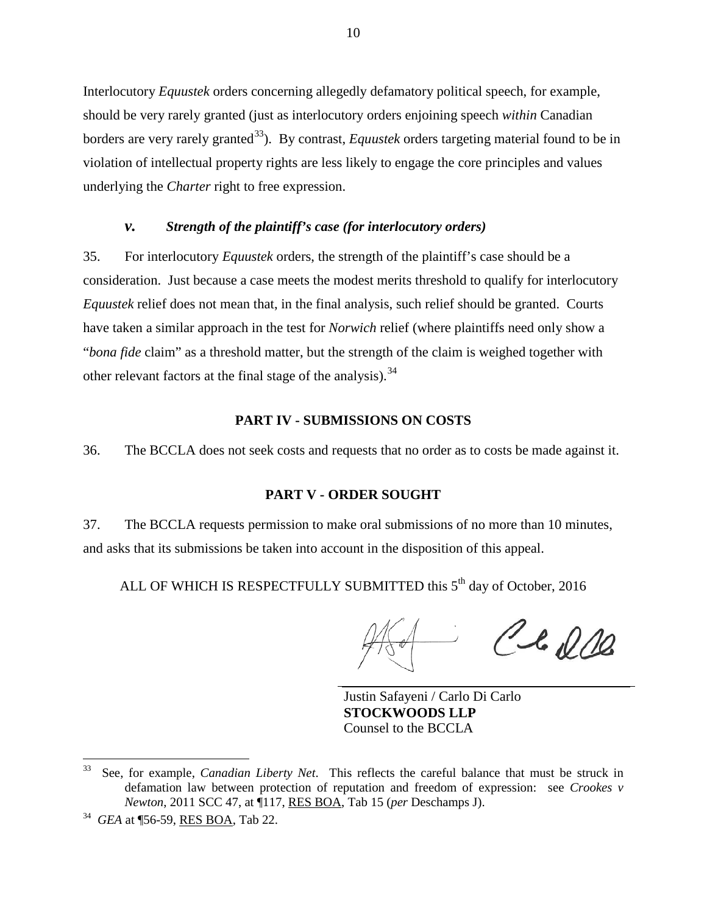Interlocutory *Equustek* orders concerning allegedly defamatory political speech, for example, should be very rarely granted (just as interlocutory orders enjoining speech *within* Canadian borders are very rarely granted<sup>33</sup>). By contrast, *Equustek* orders targeting material found to be in violation of intellectual property rights are less likely to engage the core principles and values underlying the *Charter* right to free expression.

#### *v. Strength of the plaintiff's case (for interlocutory orders)*

<span id="page-16-0"></span>35. For interlocutory *Equustek* orders, the strength of the plaintiff's case should be a consideration. Just because a case meets the modest merits threshold to qualify for interlocutory *Equustek* relief does not mean that, in the final analysis, such relief should be granted. Courts have taken a similar approach in the test for *Norwich* relief (where plaintiffs need only show a "*bona fide* claim" as a threshold matter, but the strength of the claim is weighed together with other relevant factors at the final stage of the analysis).<sup>[34](#page-16-4)</sup>

## **PART IV - SUBMISSIONS ON COSTS**

<span id="page-16-1"></span>36. The BCCLA does not seek costs and requests that no order as to costs be made against it.

### **PART V - ORDER SOUGHT**

<span id="page-16-2"></span>37. The BCCLA requests permission to make oral submissions of no more than 10 minutes, and asks that its submissions be taken into account in the disposition of this appeal.

ALL OF WHICH IS RESPECTFULLY SUBMITTED this 5<sup>th</sup> day of October, 2016

Cle 200

Justin Safayeni / Carlo Di Carlo **STOCKWOODS LLP** Counsel to the BCCLA

<span id="page-16-3"></span> <sup>33</sup> See, for example, *Canadian Liberty Net*. This reflects the careful balance that must be struck in defamation law between protection of reputation and freedom of expression: see *Crookes v Newton*, 2011 SCC 47, at ¶117, RES BOA, Tab 15 (*per* Deschamps J).

<span id="page-16-4"></span><sup>34</sup> *GEA* at ¶56-59, RES BOA, Tab 22.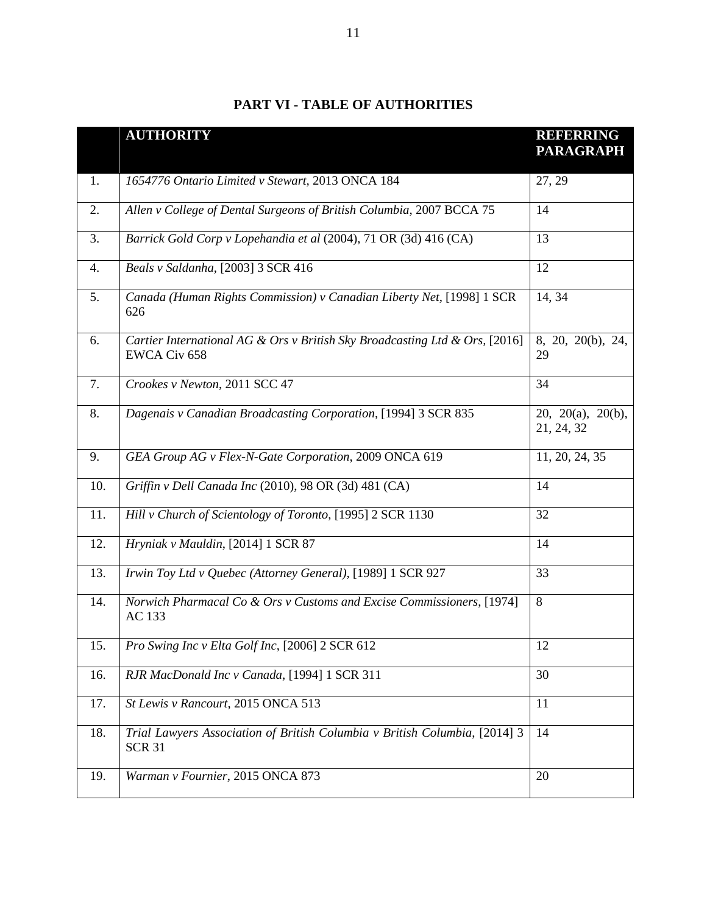<span id="page-17-0"></span>

|     | <b>AUTHORITY</b>                                                                            | <b>REFERRING</b><br><b>PARAGRAPH</b> |
|-----|---------------------------------------------------------------------------------------------|--------------------------------------|
| 1.  | 1654776 Ontario Limited v Stewart, 2013 ONCA 184                                            | 27, 29                               |
| 2.  | Allen v College of Dental Surgeons of British Columbia, 2007 BCCA 75                        | 14                                   |
| 3.  | Barrick Gold Corp v Lopehandia et al (2004), 71 OR (3d) 416 (CA)                            | 13                                   |
| 4.  | Beals v Saldanha, [2003] 3 SCR 416                                                          | 12                                   |
| 5.  | Canada (Human Rights Commission) v Canadian Liberty Net, [1998] 1 SCR<br>626                | 14, 34                               |
| 6.  | Cartier International AG & Ors v British Sky Broadcasting Ltd & Ors, [2016]<br>EWCA Civ 658 | 8, 20, 20(b), 24,<br>29              |
| 7.  | Crookes v Newton, 2011 SCC 47                                                               | 34                                   |
| 8.  | Dagenais v Canadian Broadcasting Corporation, [1994] 3 SCR 835                              | 20, 20(a), 20(b),<br>21, 24, 32      |
| 9.  | GEA Group AG v Flex-N-Gate Corporation, 2009 ONCA 619                                       | 11, 20, 24, 35                       |
| 10. | Griffin v Dell Canada Inc (2010), 98 OR (3d) 481 (CA)                                       | 14                                   |
| 11. | Hill v Church of Scientology of Toronto, [1995] 2 SCR 1130                                  | 32                                   |
| 12. | Hryniak v Mauldin, [2014] 1 SCR 87                                                          | 14                                   |
| 13. | Irwin Toy Ltd v Quebec (Attorney General), [1989] 1 SCR 927                                 | 33                                   |
| 14. | Norwich Pharmacal Co & Ors v Customs and Excise Commissioners, [1974]<br>AC 133             | 8                                    |
| 15. | Pro Swing Inc v Elta Golf Inc, [2006] 2 SCR 612                                             | 12                                   |
| 16. | RJR MacDonald Inc v Canada, [1994] 1 SCR 311                                                | 30                                   |
| 17. | St Lewis v Rancourt, 2015 ONCA 513                                                          | 11                                   |
| 18. | Trial Lawyers Association of British Columbia v British Columbia, [2014] 3<br><b>SCR 31</b> | 14                                   |
| 19. | Warman v Fournier, 2015 ONCA 873                                                            | 20                                   |

# **PART VI - TABLE OF AUTHORITIES**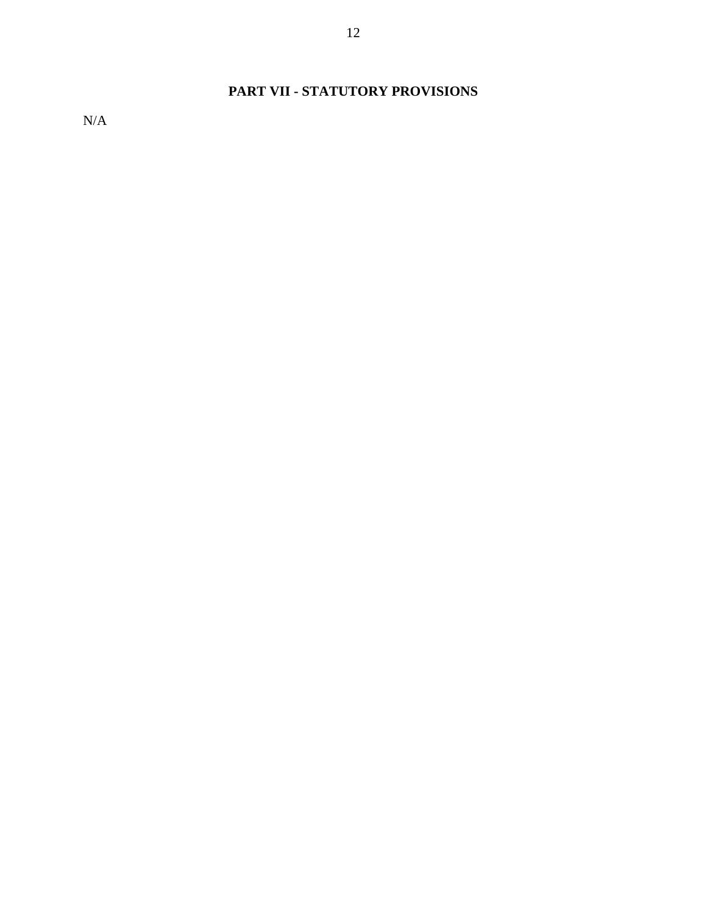# **PART VII - STATUTORY PROVISIONS**

<span id="page-18-0"></span>N/A